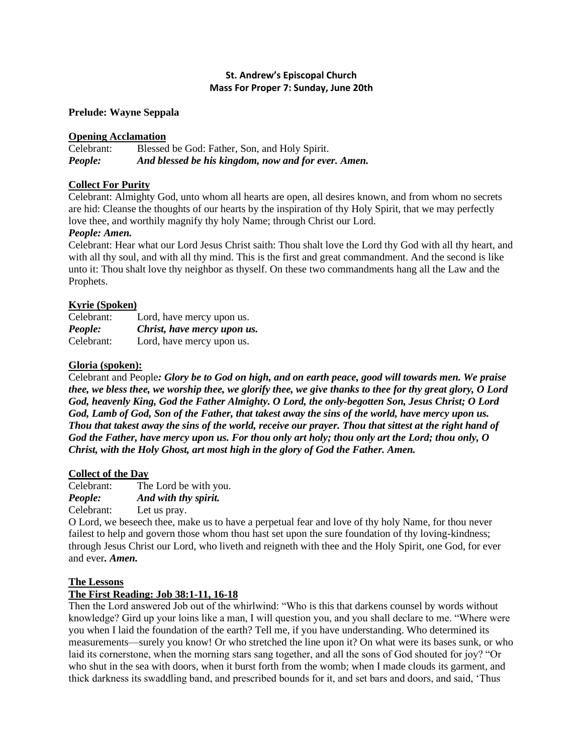# **St. Andrew's Episcopal Church Mass For Proper 7: Sunday, June 20th**

# **Prelude: Wayne Seppala**

## **Opening Acclamation**

Celebrant: Blessed be God: Father, Son, and Holy Spirit. *People: And blessed be his kingdom, now and for ever. Amen.*

## **Collect For Purity**

Celebrant: Almighty God, unto whom all hearts are open, all desires known, and from whom no secrets are hid: Cleanse the thoughts of our hearts by the inspiration of thy Holy Spirit, that we may perfectly love thee, and worthily magnify thy holy Name; through Christ our Lord.

# *People: Amen.*

Celebrant: Hear what our Lord Jesus Christ saith: Thou shalt love the Lord thy God with all thy heart, and with all thy soul, and with all thy mind. This is the first and great commandment. And the second is like unto it: Thou shalt love thy neighbor as thyself. On these two commandments hang all the Law and the Prophets.

## **Kyrie (Spoken)**

| Celebrant: | Lord, have mercy upon us.   |
|------------|-----------------------------|
| People:    | Christ, have mercy upon us. |
| Celebrant: | Lord, have mercy upon us.   |

## **Gloria (spoken):**

Celebrant and People*: Glory be to God on high, and on earth peace, good will towards men. We praise thee, we bless thee, we worship thee, we glorify thee, we give thanks to thee for thy great glory, O Lord God, heavenly King, God the Father Almighty. O Lord, the only-begotten Son, Jesus Christ; O Lord God, Lamb of God, Son of the Father, that takest away the sins of the world, have mercy upon us. Thou that takest away the sins of the world, receive our prayer. Thou that sittest at the right hand of God the Father, have mercy upon us. For thou only art holy; thou only art the Lord; thou only, O Christ, with the Holy Ghost, art most high in the glory of God the Father. Amen.*

# **Collect of the Day**

Celebrant: The Lord be with you. *People: And with thy spirit.* Celebrant: Let us pray.

O Lord, we beseech thee, make us to have a perpetual fear and love of thy holy Name, for thou never failest to help and govern those whom thou hast set upon the sure foundation of thy loving-kindness; through Jesus Christ our Lord, who liveth and reigneth with thee and the Holy Spirit, one God, for ever and ever*. Amen.*

# **The Lessons**

# **The First Reading: Job 38:1-11, 16-18**

Then the Lord answered Job out of the whirlwind: "Who is this that darkens counsel by words without knowledge? Gird up your loins like a man, I will question you, and you shall declare to me. "Where were you when I laid the foundation of the earth? Tell me, if you have understanding. Who determined its measurements—surely you know! Or who stretched the line upon it? On what were its bases sunk, or who laid its cornerstone, when the morning stars sang together, and all the sons of God shouted for joy? "Or who shut in the sea with doors, when it burst forth from the womb; when I made clouds its garment, and thick darkness its swaddling band, and prescribed bounds for it, and set bars and doors, and said, 'Thus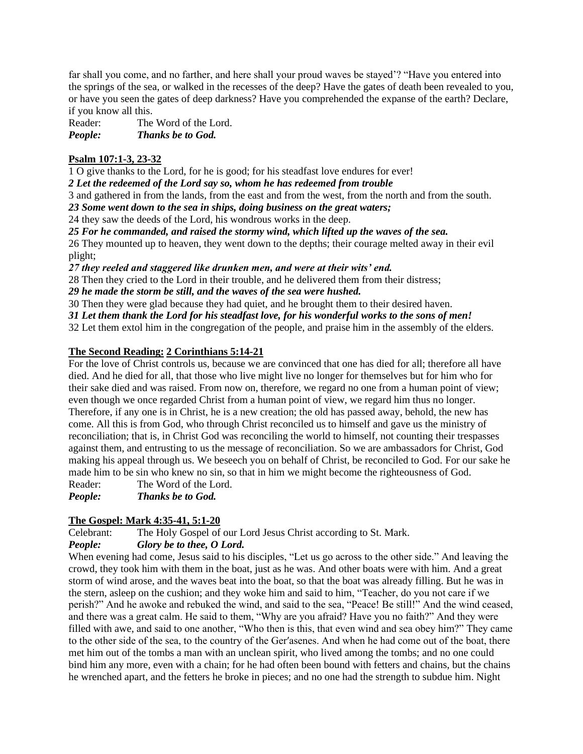far shall you come, and no farther, and here shall your proud waves be stayed'? "Have you entered into the springs of the sea, or walked in the recesses of the deep? Have the gates of death been revealed to you, or have you seen the gates of deep darkness? Have you comprehended the expanse of the earth? Declare, if you know all this.

Reader: The Word of the Lord. *People: Thanks be to God.*

# **Psalm 107:1-3, 23-32**

1 O give thanks to the Lord, for he is good; for his steadfast love endures for ever!

*2 Let the redeemed of the Lord say so, whom he has redeemed from trouble*

3 and gathered in from the lands, from the east and from the west, from the north and from the south.

*23 Some went down to the sea in ships, doing business on the great waters;*

24 they saw the deeds of the Lord, his wondrous works in the deep.

*25 For he commanded, and raised the stormy wind, which lifted up the waves of the sea.*

26 They mounted up to heaven, they went down to the depths; their courage melted away in their evil plight;

*27 they reeled and staggered like drunken men, and were at their wits' end.*

28 Then they cried to the Lord in their trouble, and he delivered them from their distress;

*29 he made the storm be still, and the waves of the sea were hushed.*

30 Then they were glad because they had quiet, and he brought them to their desired haven.

*31 Let them thank the Lord for his steadfast love, for his wonderful works to the sons of men!*

32 Let them extol him in the congregation of the people, and praise him in the assembly of the elders.

# **The Second Reading: 2 Corinthians 5:14-21**

For the love of Christ controls us, because we are convinced that one has died for all; therefore all have died. And he died for all, that those who live might live no longer for themselves but for him who for their sake died and was raised. From now on, therefore, we regard no one from a human point of view; even though we once regarded Christ from a human point of view, we regard him thus no longer. Therefore, if any one is in Christ, he is a new creation; the old has passed away, behold, the new has come. All this is from God, who through Christ reconciled us to himself and gave us the ministry of reconciliation; that is, in Christ God was reconciling the world to himself, not counting their trespasses against them, and entrusting to us the message of reconciliation. So we are ambassadors for Christ, God making his appeal through us. We beseech you on behalf of Christ, be reconciled to God. For our sake he made him to be sin who knew no sin, so that in him we might become the righteousness of God. Reader: The Word of the Lord.

*People: Thanks be to God.*

# **The Gospel: Mark 4:35-41, 5:1-20**

Celebrant: The Holy Gospel of our Lord Jesus Christ according to St. Mark. *People: Glory be to thee, O Lord.*

When evening had come, Jesus said to his disciples, "Let us go across to the other side." And leaving the crowd, they took him with them in the boat, just as he was. And other boats were with him. And a great storm of wind arose, and the waves beat into the boat, so that the boat was already filling. But he was in the stern, asleep on the cushion; and they woke him and said to him, "Teacher, do you not care if we perish?" And he awoke and rebuked the wind, and said to the sea, "Peace! Be still!" And the wind ceased, and there was a great calm. He said to them, "Why are you afraid? Have you no faith?" And they were filled with awe, and said to one another, "Who then is this, that even wind and sea obey him?" They came to the other side of the sea, to the country of the Ger′asenes. And when he had come out of the boat, there met him out of the tombs a man with an unclean spirit, who lived among the tombs; and no one could bind him any more, even with a chain; for he had often been bound with fetters and chains, but the chains he wrenched apart, and the fetters he broke in pieces; and no one had the strength to subdue him. Night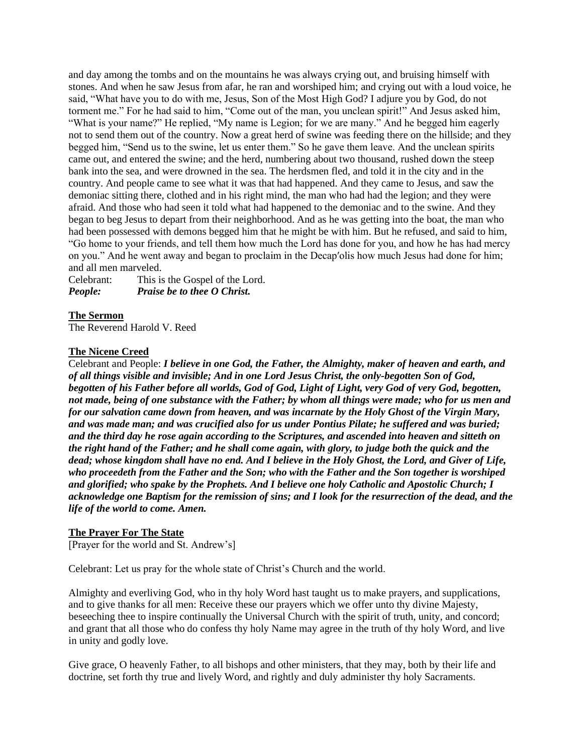and day among the tombs and on the mountains he was always crying out, and bruising himself with stones. And when he saw Jesus from afar, he ran and worshiped him; and crying out with a loud voice, he said, "What have you to do with me, Jesus, Son of the Most High God? I adjure you by God, do not torment me." For he had said to him, "Come out of the man, you unclean spirit!" And Jesus asked him, "What is your name?" He replied, "My name is Legion; for we are many." And he begged him eagerly not to send them out of the country. Now a great herd of swine was feeding there on the hillside; and they begged him, "Send us to the swine, let us enter them." So he gave them leave. And the unclean spirits came out, and entered the swine; and the herd, numbering about two thousand, rushed down the steep bank into the sea, and were drowned in the sea. The herdsmen fled, and told it in the city and in the country. And people came to see what it was that had happened. And they came to Jesus, and saw the demoniac sitting there, clothed and in his right mind, the man who had had the legion; and they were afraid. And those who had seen it told what had happened to the demoniac and to the swine. And they began to beg Jesus to depart from their neighborhood. And as he was getting into the boat, the man who had been possessed with demons begged him that he might be with him. But he refused, and said to him, "Go home to your friends, and tell them how much the Lord has done for you, and how he has had mercy on you." And he went away and began to proclaim in the Decap′olis how much Jesus had done for him; and all men marveled.

Celebrant: This is the Gospel of the Lord. *People: Praise be to thee O Christ.*

# **The Sermon**

The Reverend Harold V. Reed

#### **The Nicene Creed**

Celebrant and People: *I believe in one God, the Father, the Almighty, maker of heaven and earth, and of all things visible and invisible; And in one Lord Jesus Christ, the only-begotten Son of God, begotten of his Father before all worlds, God of God, Light of Light, very God of very God, begotten, not made, being of one substance with the Father; by whom all things were made; who for us men and for our salvation came down from heaven, and was incarnate by the Holy Ghost of the Virgin Mary, and was made man; and was crucified also for us under Pontius Pilate; he suffered and was buried; and the third day he rose again according to the Scriptures, and ascended into heaven and sitteth on the right hand of the Father; and he shall come again, with glory, to judge both the quick and the dead; whose kingdom shall have no end. And I believe in the Holy Ghost, the Lord, and Giver of Life, who proceedeth from the Father and the Son; who with the Father and the Son together is worshiped and glorified; who spake by the Prophets. And I believe one holy Catholic and Apostolic Church; I acknowledge one Baptism for the remission of sins; and I look for the resurrection of the dead, and the life of the world to come. Amen.*

#### **The Prayer For The State**

[Prayer for the world and St. Andrew's]

Celebrant: Let us pray for the whole state of Christ's Church and the world.

Almighty and everliving God, who in thy holy Word hast taught us to make prayers, and supplications, and to give thanks for all men: Receive these our prayers which we offer unto thy divine Majesty, beseeching thee to inspire continually the Universal Church with the spirit of truth, unity, and concord; and grant that all those who do confess thy holy Name may agree in the truth of thy holy Word, and live in unity and godly love.

Give grace, O heavenly Father, to all bishops and other ministers, that they may, both by their life and doctrine, set forth thy true and lively Word, and rightly and duly administer thy holy Sacraments.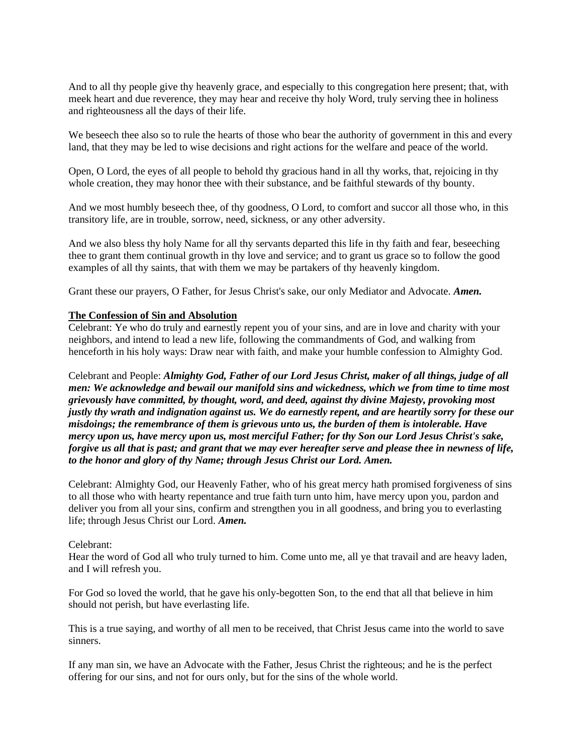And to all thy people give thy heavenly grace, and especially to this congregation here present; that, with meek heart and due reverence, they may hear and receive thy holy Word, truly serving thee in holiness and righteousness all the days of their life.

We beseech thee also so to rule the hearts of those who bear the authority of government in this and every land, that they may be led to wise decisions and right actions for the welfare and peace of the world.

Open, O Lord, the eyes of all people to behold thy gracious hand in all thy works, that, rejoicing in thy whole creation, they may honor thee with their substance, and be faithful stewards of thy bounty.

And we most humbly beseech thee, of thy goodness, O Lord, to comfort and succor all those who, in this transitory life, are in trouble, sorrow, need, sickness, or any other adversity.

And we also bless thy holy Name for all thy servants departed this life in thy faith and fear, beseeching thee to grant them continual growth in thy love and service; and to grant us grace so to follow the good examples of all thy saints, that with them we may be partakers of thy heavenly kingdom.

Grant these our prayers, O Father, for Jesus Christ's sake, our only Mediator and Advocate. *Amen.*

## **The Confession of Sin and Absolution**

Celebrant: Ye who do truly and earnestly repent you of your sins, and are in love and charity with your neighbors, and intend to lead a new life, following the commandments of God, and walking from henceforth in his holy ways: Draw near with faith, and make your humble confession to Almighty God.

Celebrant and People: *Almighty God, Father of our Lord Jesus Christ, maker of all things, judge of all men: We acknowledge and bewail our manifold sins and wickedness, which we from time to time most grievously have committed, by thought, word, and deed, against thy divine Majesty, provoking most justly thy wrath and indignation against us. We do earnestly repent, and are heartily sorry for these our misdoings; the remembrance of them is grievous unto us, the burden of them is intolerable. Have mercy upon us, have mercy upon us, most merciful Father; for thy Son our Lord Jesus Christ's sake, forgive us all that is past; and grant that we may ever hereafter serve and please thee in newness of life, to the honor and glory of thy Name; through Jesus Christ our Lord. Amen.*

Celebrant: Almighty God, our Heavenly Father, who of his great mercy hath promised forgiveness of sins to all those who with hearty repentance and true faith turn unto him, have mercy upon you, pardon and deliver you from all your sins, confirm and strengthen you in all goodness, and bring you to everlasting life; through Jesus Christ our Lord. *Amen.*

#### Celebrant:

Hear the word of God all who truly turned to him. Come unto me, all ye that travail and are heavy laden, and I will refresh you.

For God so loved the world, that he gave his only-begotten Son, to the end that all that believe in him should not perish, but have everlasting life.

This is a true saying, and worthy of all men to be received, that Christ Jesus came into the world to save sinners.

If any man sin, we have an Advocate with the Father, Jesus Christ the righteous; and he is the perfect offering for our sins, and not for ours only, but for the sins of the whole world.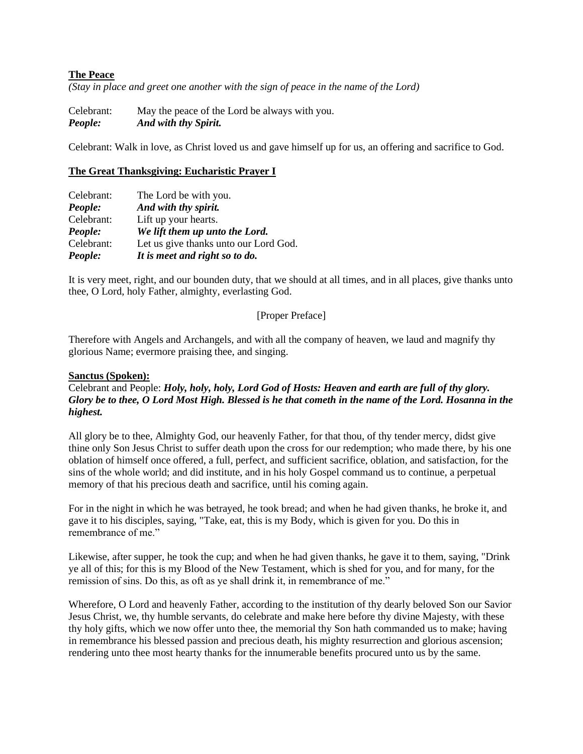# **The Peace**

*(Stay in place and greet one another with the sign of peace in the name of the Lord)*

Celebrant: May the peace of the Lord be always with you. *People: And with thy Spirit.*

Celebrant: Walk in love, as Christ loved us and gave himself up for us, an offering and sacrifice to God.

### **The Great Thanksgiving: Eucharistic Prayer I**

| People:    | It is meet and right so to do.        |
|------------|---------------------------------------|
| Celebrant: | Let us give thanks unto our Lord God. |
| People:    | We lift them up unto the Lord.        |
| Celebrant: | Lift up your hearts.                  |
| People:    | And with thy spirit.                  |
| Celebrant: | The Lord be with you.                 |

It is very meet, right, and our bounden duty, that we should at all times, and in all places, give thanks unto thee, O Lord, holy Father, almighty, everlasting God.

## [Proper Preface]

Therefore with Angels and Archangels, and with all the company of heaven, we laud and magnify thy glorious Name; evermore praising thee, and singing.

## **Sanctus (Spoken):**

# Celebrant and People: *Holy, holy, holy, Lord God of Hosts: Heaven and earth are full of thy glory. Glory be to thee, O Lord Most High. Blessed is he that cometh in the name of the Lord. Hosanna in the highest.*

All glory be to thee, Almighty God, our heavenly Father, for that thou, of thy tender mercy, didst give thine only Son Jesus Christ to suffer death upon the cross for our redemption; who made there, by his one oblation of himself once offered, a full, perfect, and sufficient sacrifice, oblation, and satisfaction, for the sins of the whole world; and did institute, and in his holy Gospel command us to continue, a perpetual memory of that his precious death and sacrifice, until his coming again.

For in the night in which he was betrayed, he took bread; and when he had given thanks, he broke it, and gave it to his disciples, saying, "Take, eat, this is my Body, which is given for you. Do this in remembrance of me."

Likewise, after supper, he took the cup; and when he had given thanks, he gave it to them, saying, "Drink ye all of this; for this is my Blood of the New Testament, which is shed for you, and for many, for the remission of sins. Do this, as oft as ye shall drink it, in remembrance of me."

Wherefore, O Lord and heavenly Father, according to the institution of thy dearly beloved Son our Savior Jesus Christ, we, thy humble servants, do celebrate and make here before thy divine Majesty, with these thy holy gifts, which we now offer unto thee, the memorial thy Son hath commanded us to make; having in remembrance his blessed passion and precious death, his mighty resurrection and glorious ascension; rendering unto thee most hearty thanks for the innumerable benefits procured unto us by the same.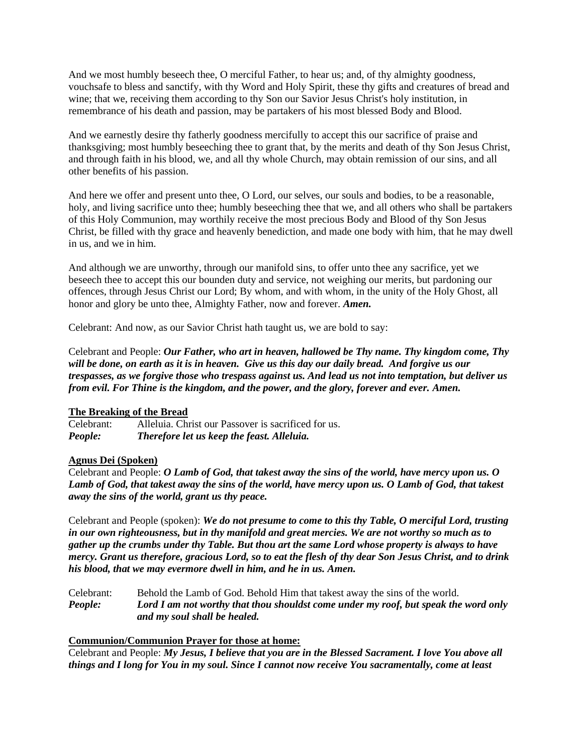And we most humbly beseech thee, O merciful Father, to hear us; and, of thy almighty goodness, vouchsafe to bless and sanctify, with thy Word and Holy Spirit, these thy gifts and creatures of bread and wine; that we, receiving them according to thy Son our Savior Jesus Christ's holy institution, in remembrance of his death and passion, may be partakers of his most blessed Body and Blood.

And we earnestly desire thy fatherly goodness mercifully to accept this our sacrifice of praise and thanksgiving; most humbly beseeching thee to grant that, by the merits and death of thy Son Jesus Christ, and through faith in his blood, we, and all thy whole Church, may obtain remission of our sins, and all other benefits of his passion.

And here we offer and present unto thee, O Lord, our selves, our souls and bodies, to be a reasonable, holy, and living sacrifice unto thee; humbly beseeching thee that we, and all others who shall be partakers of this Holy Communion, may worthily receive the most precious Body and Blood of thy Son Jesus Christ, be filled with thy grace and heavenly benediction, and made one body with him, that he may dwell in us, and we in him.

And although we are unworthy, through our manifold sins, to offer unto thee any sacrifice, yet we beseech thee to accept this our bounden duty and service, not weighing our merits, but pardoning our offences, through Jesus Christ our Lord; By whom, and with whom, in the unity of the Holy Ghost, all honor and glory be unto thee, Almighty Father, now and forever. *Amen.*

Celebrant: And now, as our Savior Christ hath taught us, we are bold to say:

Celebrant and People: *Our Father, who art in heaven, hallowed be Thy name. Thy kingdom come, Thy will be done, on earth as it is in heaven. Give us this day our daily bread. And forgive us our trespasses, as we forgive those who trespass against us. And lead us not into temptation, but deliver us from evil. For Thine is the kingdom, and the power, and the glory, forever and ever. Amen.*

# **The Breaking of the Bread**

Celebrant: Alleluia. Christ our Passover is sacrificed for us. *People: Therefore let us keep the feast. Alleluia.*

#### **Agnus Dei (Spoken)**

Celebrant and People: *O Lamb of God, that takest away the sins of the world, have mercy upon us. O Lamb of God, that takest away the sins of the world, have mercy upon us. O Lamb of God, that takest away the sins of the world, grant us thy peace.*

Celebrant and People (spoken): *We do not presume to come to this thy Table, O merciful Lord, trusting in our own righteousness, but in thy manifold and great mercies. We are not worthy so much as to gather up the crumbs under thy Table. But thou art the same Lord whose property is always to have mercy. Grant us therefore, gracious Lord, so to eat the flesh of thy dear Son Jesus Christ, and to drink his blood, that we may evermore dwell in him, and he in us. Amen.*

Celebrant: Behold the Lamb of God. Behold Him that takest away the sins of the world. *People: Lord I am not worthy that thou shouldst come under my roof, but speak the word only and my soul shall be healed.*

# **Communion/Communion Prayer for those at home:**

Celebrant and People: *My Jesus, I believe that you are in the Blessed Sacrament. I love You above all things and I long for You in my soul. Since I cannot now receive You sacramentally, come at least*